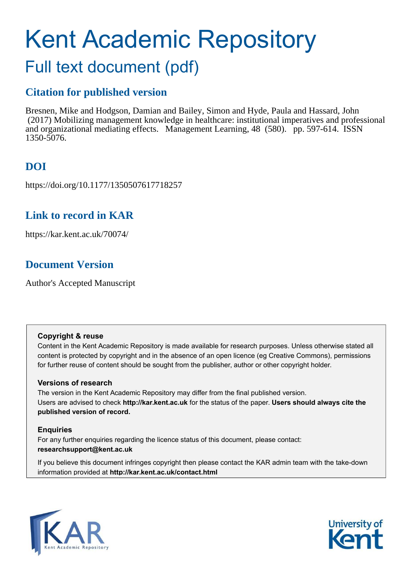# Kent Academic Repository Full text document (pdf)

### **Citation for published version**

Bresnen, Mike and Hodgson, Damian and Bailey, Simon and Hyde, Paula and Hassard, John (2017) Mobilizing management knowledge in healthcare: institutional imperatives and professional and organizational mediating effects. Management Learning, 48 (580). pp. 597-614. ISSN 1350-5076.

### **DOI**

https://doi.org/10.1177/1350507617718257

### **Link to record in KAR**

https://kar.kent.ac.uk/70074/

### **Document Version**

Author's Accepted Manuscript

#### **Copyright & reuse**

Content in the Kent Academic Repository is made available for research purposes. Unless otherwise stated all content is protected by copyright and in the absence of an open licence (eg Creative Commons), permissions for further reuse of content should be sought from the publisher, author or other copyright holder.

#### **Versions of research**

The version in the Kent Academic Repository may differ from the final published version. Users are advised to check **http://kar.kent.ac.uk** for the status of the paper. **Users should always cite the published version of record.**

#### **Enquiries**

For any further enquiries regarding the licence status of this document, please contact: **researchsupport@kent.ac.uk**

If you believe this document infringes copyright then please contact the KAR admin team with the take-down information provided at **http://kar.kent.ac.uk/contact.html**



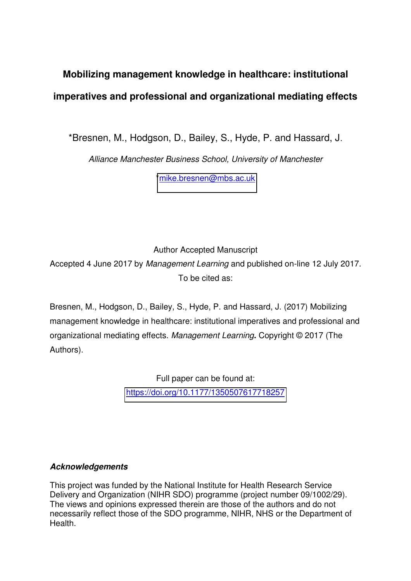## **Mobilizing management knowledge in healthcare: institutional imperatives and professional and organizational mediating effects**

\*Bresnen, M., Hodgson, D., Bailey, S., Hyde, P. and Hassard, J.

*Alliance Manchester Business School, University of Manchester* 

[\\*mike.bresnen@mbs.ac.uk](mailto:mike.bresnen@mbs.ac.uk)

Author Accepted Manuscript Accepted 4 June 2017 by *Management Learning* and published on-line 12 July 2017. To be cited as:

Bresnen, M., Hodgson, D., Bailey, S., Hyde, P. and Hassard, J. (2017) Mobilizing management knowledge in healthcare: institutional imperatives and professional and organizational mediating effects. *Management Learning***.** Copyright © 2017 (The Authors).

> Full paper can be found at: <https://doi.org/10.1177/1350507617718257>

#### *Acknowledgements*

This project was funded by the National Institute for Health Research Service Delivery and Organization (NIHR SDO) programme (project number 09/1002/29). The views and opinions expressed therein are those of the authors and do not necessarily reflect those of the SDO programme, NIHR, NHS or the Department of Health.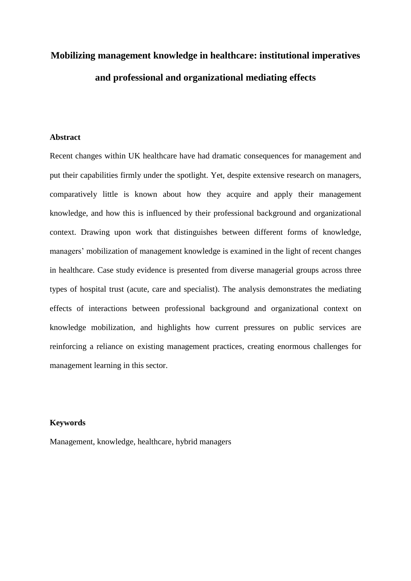# **Mobilizing management knowledge in healthcare: institutional imperatives and professional and organizational mediating effects**

#### **Abstract**

Recent changes within UK healthcare have had dramatic consequences for management and put their capabilities firmly under the spotlight. Yet, despite extensive research on managers, comparatively little is known about how they acquire and apply their management knowledge, and how this is influenced by their professional background and organizational context. Drawing upon work that distinguishes between different forms of knowledge, managers' mobilization of management knowledge is examined in the light of recent changes in healthcare. Case study evidence is presented from diverse managerial groups across three types of hospital trust (acute, care and specialist). The analysis demonstrates the mediating effects of interactions between professional background and organizational context on knowledge mobilization, and highlights how current pressures on public services are reinforcing a reliance on existing management practices, creating enormous challenges for management learning in this sector.

#### **Keywords**

Management, knowledge, healthcare, hybrid managers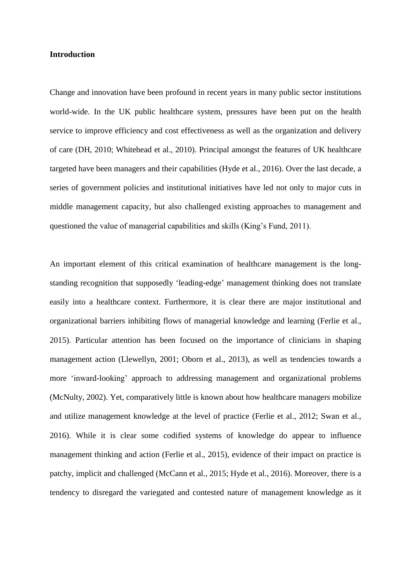#### **Introduction**

Change and innovation have been profound in recent years in many public sector institutions world-wide. In the UK public healthcare system, pressures have been put on the health service to improve efficiency and cost effectiveness as well as the organization and delivery of care (DH, 2010; Whitehead et al., 2010). Principal amongst the features of UK healthcare targeted have been managers and their capabilities (Hyde et al., 2016). Over the last decade, a series of government policies and institutional initiatives have led not only to major cuts in middle management capacity, but also challenged existing approaches to management and questioned the value of managerial capabilities and skills (King's Fund, 2011).

An important element of this critical examination of healthcare management is the longstanding recognition that supposedly 'leading-edge' management thinking does not translate easily into a healthcare context. Furthermore, it is clear there are major institutional and organizational barriers inhibiting flows of managerial knowledge and learning (Ferlie et al., 2015). Particular attention has been focused on the importance of clinicians in shaping management action (Llewellyn, 2001; Oborn et al., 2013), as well as tendencies towards a more 'inward-looking' approach to addressing management and organizational problems (McNulty, 2002). Yet, comparatively little is known about how healthcare managers mobilize and utilize management knowledge at the level of practice (Ferlie et al., 2012; Swan et al., 2016). While it is clear some codified systems of knowledge do appear to influence management thinking and action (Ferlie et al., 2015), evidence of their impact on practice is patchy, implicit and challenged (McCann et al., 2015; Hyde et al., 2016). Moreover, there is a tendency to disregard the variegated and contested nature of management knowledge as it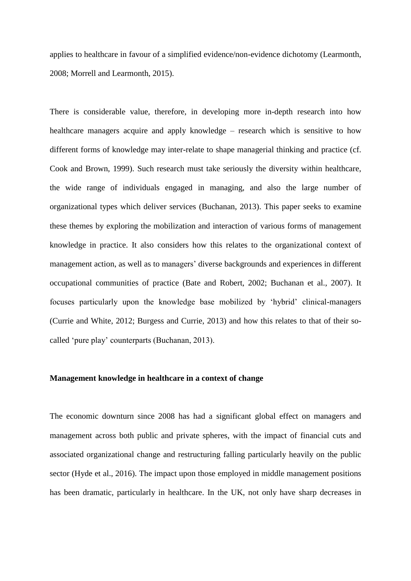applies to healthcare in favour of a simplified evidence/non-evidence dichotomy (Learmonth, 2008; Morrell and Learmonth, 2015).

There is considerable value, therefore, in developing more in-depth research into how healthcare managers acquire and apply knowledge – research which is sensitive to how different forms of knowledge may inter-relate to shape managerial thinking and practice (cf. Cook and Brown, 1999). Such research must take seriously the diversity within healthcare, the wide range of individuals engaged in managing, and also the large number of organizational types which deliver services (Buchanan, 2013). This paper seeks to examine these themes by exploring the mobilization and interaction of various forms of management knowledge in practice. It also considers how this relates to the organizational context of management action, as well as to managers' diverse backgrounds and experiences in different occupational communities of practice (Bate and Robert, 2002; Buchanan et al., 2007). It focuses particularly upon the knowledge base mobilized by 'hybrid' clinical-managers (Currie and White, 2012; Burgess and Currie, 2013) and how this relates to that of their socalled 'pure play' counterparts (Buchanan, 2013).

#### **Management knowledge in healthcare in a context of change**

The economic downturn since 2008 has had a significant global effect on managers and management across both public and private spheres, with the impact of financial cuts and associated organizational change and restructuring falling particularly heavily on the public sector (Hyde et al., 2016). The impact upon those employed in middle management positions has been dramatic, particularly in healthcare. In the UK, not only have sharp decreases in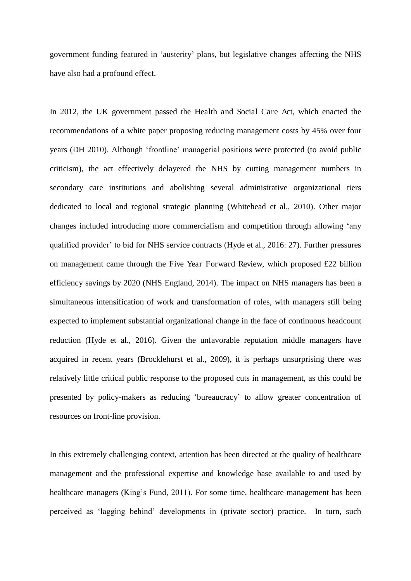government funding featured in 'austerity' plans, but legislative changes affecting the NHS have also had a profound effect.

In 2012, the UK government passed the Health and Social Care Act, which enacted the recommendations of a white paper proposing reducing management costs by 45% over four years (DH 2010). Although 'frontline' managerial positions were protected (to avoid public criticism), the act effectively delayered the NHS by cutting management numbers in secondary care institutions and abolishing several administrative organizational tiers dedicated to local and regional strategic planning (Whitehead et al., 2010). Other major changes included introducing more commercialism and competition through allowing 'any qualified provider' to bid for NHS service contracts (Hyde et al., 2016: 27). Further pressures on management came through the Five Year Forward Review, which proposed £22 billion efficiency savings by 2020 (NHS England, 2014). The impact on NHS managers has been a simultaneous intensification of work and transformation of roles, with managers still being expected to implement substantial organizational change in the face of continuous headcount reduction (Hyde et al., 2016). Given the unfavorable reputation middle managers have acquired in recent years (Brocklehurst et al., 2009), it is perhaps unsurprising there was relatively little critical public response to the proposed cuts in management, as this could be presented by policy-makers as reducing 'bureaucracy' to allow greater concentration of resources on front-line provision.

In this extremely challenging context, attention has been directed at the quality of healthcare management and the professional expertise and knowledge base available to and used by healthcare managers (King's Fund, 2011). For some time, healthcare management has been perceived as 'lagging behind' developments in (private sector) practice. In turn, such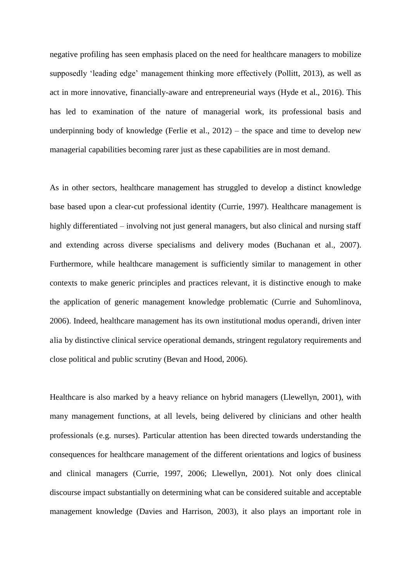negative profiling has seen emphasis placed on the need for healthcare managers to mobilize supposedly 'leading edge' management thinking more effectively (Pollitt, 2013), as well as act in more innovative, financially-aware and entrepreneurial ways (Hyde et al., 2016). This has led to examination of the nature of managerial work, its professional basis and underpinning body of knowledge (Ferlie et al., 2012) – the space and time to develop new managerial capabilities becoming rarer just as these capabilities are in most demand.

As in other sectors, healthcare management has struggled to develop a distinct knowledge base based upon a clear-cut professional identity (Currie, 1997). Healthcare management is highly differentiated – involving not just general managers, but also clinical and nursing staff and extending across diverse specialisms and delivery modes (Buchanan et al., 2007). Furthermore, while healthcare management is sufficiently similar to management in other contexts to make generic principles and practices relevant, it is distinctive enough to make the application of generic management knowledge problematic (Currie and Suhomlinova, 2006). Indeed, healthcare management has its own institutional modus operandi, driven inter alia by distinctive clinical service operational demands, stringent regulatory requirements and close political and public scrutiny (Bevan and Hood, 2006).

Healthcare is also marked by a heavy reliance on hybrid managers (Llewellyn, 2001), with many management functions, at all levels, being delivered by clinicians and other health professionals (e.g. nurses). Particular attention has been directed towards understanding the consequences for healthcare management of the different orientations and logics of business and clinical managers (Currie, 1997, 2006; Llewellyn, 2001). Not only does clinical discourse impact substantially on determining what can be considered suitable and acceptable management knowledge (Davies and Harrison, 2003), it also plays an important role in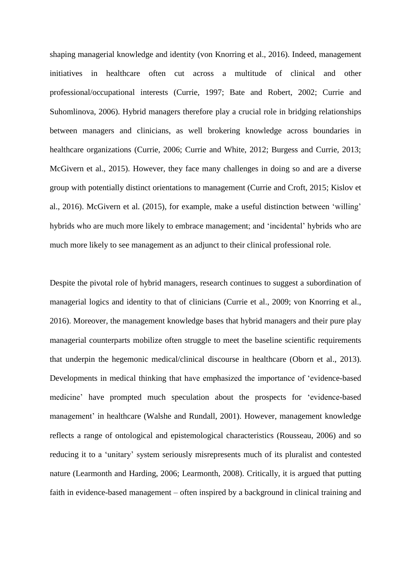shaping managerial knowledge and identity (von Knorring et al., 2016). Indeed, management initiatives in healthcare often cut across a multitude of clinical and other professional/occupational interests (Currie, 1997; Bate and Robert, 2002; Currie and Suhomlinova, 2006). Hybrid managers therefore play a crucial role in bridging relationships between managers and clinicians, as well brokering knowledge across boundaries in healthcare organizations (Currie, 2006; Currie and White, 2012; Burgess and Currie, 2013; McGivern et al., 2015). However, they face many challenges in doing so and are a diverse group with potentially distinct orientations to management (Currie and Croft, 2015; Kislov et al., 2016). McGivern et al. (2015), for example, make a useful distinction between 'willing' hybrids who are much more likely to embrace management; and 'incidental' hybrids who are much more likely to see management as an adjunct to their clinical professional role.

Despite the pivotal role of hybrid managers, research continues to suggest a subordination of managerial logics and identity to that of clinicians (Currie et al., 2009; von Knorring et al., 2016). Moreover, the management knowledge bases that hybrid managers and their pure play managerial counterparts mobilize often struggle to meet the baseline scientific requirements that underpin the hegemonic medical/clinical discourse in healthcare (Oborn et al., 2013). Developments in medical thinking that have emphasized the importance of 'evidence-based medicine' have prompted much speculation about the prospects for 'evidence-based management' in healthcare (Walshe and Rundall, 2001). However, management knowledge reflects a range of ontological and epistemological characteristics (Rousseau, 2006) and so reducing it to a 'unitary' system seriously misrepresents much of its pluralist and contested nature (Learmonth and Harding, 2006; Learmonth, 2008). Critically, it is argued that putting faith in evidence-based management – often inspired by a background in clinical training and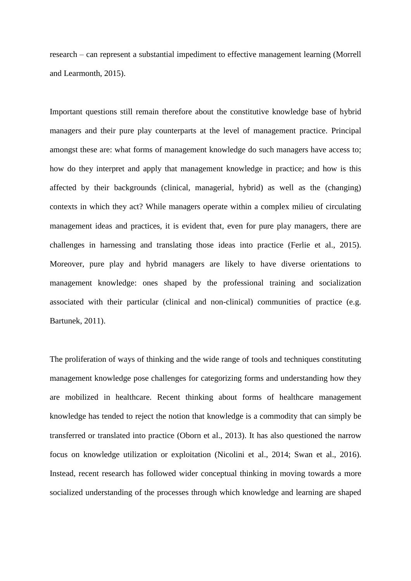research – can represent a substantial impediment to effective management learning (Morrell and Learmonth, 2015).

Important questions still remain therefore about the constitutive knowledge base of hybrid managers and their pure play counterparts at the level of management practice. Principal amongst these are: what forms of management knowledge do such managers have access to; how do they interpret and apply that management knowledge in practice; and how is this affected by their backgrounds (clinical, managerial, hybrid) as well as the (changing) contexts in which they act? While managers operate within a complex milieu of circulating management ideas and practices, it is evident that, even for pure play managers, there are challenges in harnessing and translating those ideas into practice (Ferlie et al., 2015). Moreover, pure play and hybrid managers are likely to have diverse orientations to management knowledge: ones shaped by the professional training and socialization associated with their particular (clinical and non-clinical) communities of practice (e.g. Bartunek, 2011).

The proliferation of ways of thinking and the wide range of tools and techniques constituting management knowledge pose challenges for categorizing forms and understanding how they are mobilized in healthcare. Recent thinking about forms of healthcare management knowledge has tended to reject the notion that knowledge is a commodity that can simply be transferred or translated into practice (Oborn et al., 2013). It has also questioned the narrow focus on knowledge utilization or exploitation (Nicolini et al., 2014; Swan et al., 2016). Instead, recent research has followed wider conceptual thinking in moving towards a more socialized understanding of the processes through which knowledge and learning are shaped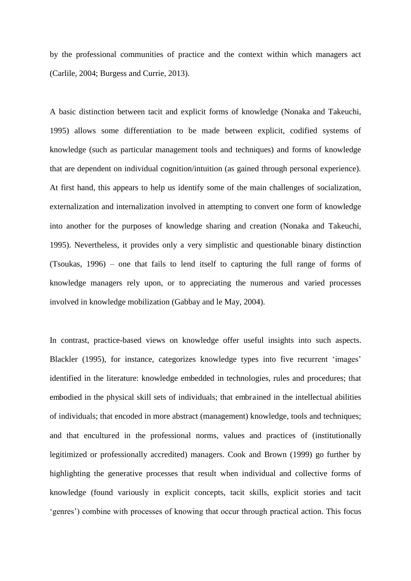by the professional communities of practice and the context within which managers act (Carlile, 2004; Burgess and Currie, 2013).

A basic distinction between tacit and explicit forms of knowledge (Nonaka and Takeuchi, 1995) allows some differentiation to be made between explicit, codified systems of knowledge (such as particular management tools and techniques) and forms of knowledge that are dependent on individual cognition/intuition (as gained through personal experience). At first hand, this appears to help us identify some of the main challenges of socialization, externalization and internalization involved in attempting to convert one form of knowledge into another for the purposes of knowledge sharing and creation (Nonaka and Takeuchi, 1995). Nevertheless, it provides only a very simplistic and questionable binary distinction (Tsoukas, 1996) – one that fails to lend itself to capturing the full range of forms of knowledge managers rely upon, or to appreciating the numerous and varied processes involved in knowledge mobilization (Gabbay and le May, 2004).

In contrast, practice-based views on knowledge offer useful insights into such aspects. Blackler (1995), for instance, categorizes knowledge types into five recurrent 'images' identified in the literature: knowledge embedded in technologies, rules and procedures; that embodied in the physical skill sets of individuals; that embrained in the intellectual abilities of individuals; that encoded in more abstract (management) knowledge, tools and techniques; and that encultured in the professional norms, values and practices of (institutionally legitimized or professionally accredited) managers. Cook and Brown (1999) go further by highlighting the generative processes that result when individual and collective forms of knowledge (found variously in explicit concepts, tacit skills, explicit stories and tacit 'genres') combine with processes of knowing that occur through practical action. This focus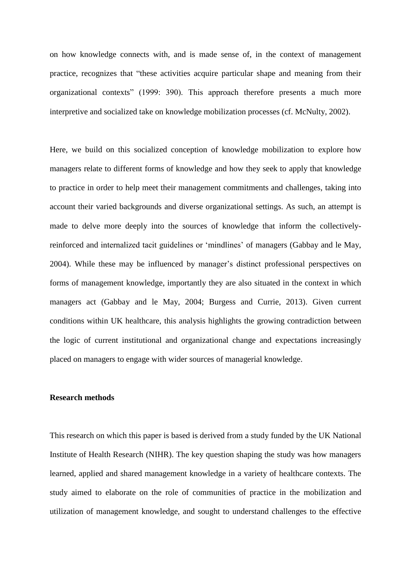on how knowledge connects with, and is made sense of, in the context of management practice, recognizes that "these activities acquire particular shape and meaning from their organizational contexts" (1999: 390). This approach therefore presents a much more interpretive and socialized take on knowledge mobilization processes (cf. McNulty, 2002).

Here, we build on this socialized conception of knowledge mobilization to explore how managers relate to different forms of knowledge and how they seek to apply that knowledge to practice in order to help meet their management commitments and challenges, taking into account their varied backgrounds and diverse organizational settings. As such, an attempt is made to delve more deeply into the sources of knowledge that inform the collectivelyreinforced and internalized tacit guidelines or 'mindlines' of managers (Gabbay and le May, 2004). While these may be influenced by manager's distinct professional perspectives on forms of management knowledge, importantly they are also situated in the context in which managers act (Gabbay and le May, 2004; Burgess and Currie, 2013). Given current conditions within UK healthcare, this analysis highlights the growing contradiction between the logic of current institutional and organizational change and expectations increasingly placed on managers to engage with wider sources of managerial knowledge.

#### **Research methods**

This research on which this paper is based is derived from a study funded by the UK National Institute of Health Research (NIHR). The key question shaping the study was how managers learned, applied and shared management knowledge in a variety of healthcare contexts. The study aimed to elaborate on the role of communities of practice in the mobilization and utilization of management knowledge, and sought to understand challenges to the effective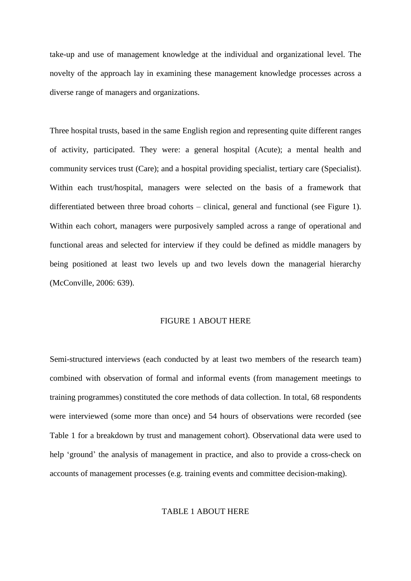take-up and use of management knowledge at the individual and organizational level. The novelty of the approach lay in examining these management knowledge processes across a diverse range of managers and organizations.

Three hospital trusts, based in the same English region and representing quite different ranges of activity, participated. They were: a general hospital (Acute); a mental health and community services trust (Care); and a hospital providing specialist, tertiary care (Specialist). Within each trust/hospital, managers were selected on the basis of a framework that differentiated between three broad cohorts – clinical, general and functional (see Figure 1). Within each cohort, managers were purposively sampled across a range of operational and functional areas and selected for interview if they could be defined as middle managers by being positioned at least two levels up and two levels down the managerial hierarchy (McConville, 2006: 639).

#### FIGURE 1 ABOUT HERE

Semi-structured interviews (each conducted by at least two members of the research team) combined with observation of formal and informal events (from management meetings to training programmes) constituted the core methods of data collection. In total, 68 respondents were interviewed (some more than once) and 54 hours of observations were recorded (see Table 1 for a breakdown by trust and management cohort). Observational data were used to help 'ground' the analysis of management in practice, and also to provide a cross-check on accounts of management processes (e.g. training events and committee decision-making).

#### TABLE 1 ABOUT HERE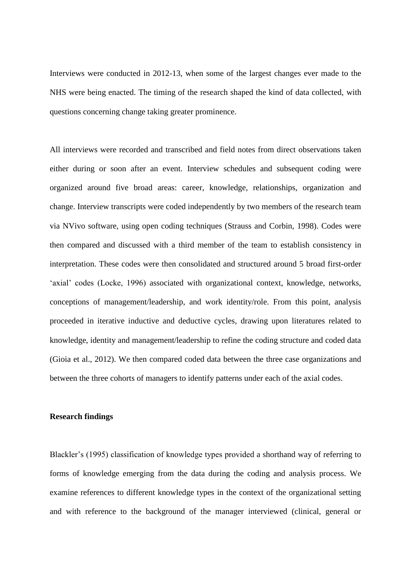Interviews were conducted in 2012-13, when some of the largest changes ever made to the NHS were being enacted. The timing of the research shaped the kind of data collected, with questions concerning change taking greater prominence.

All interviews were recorded and transcribed and field notes from direct observations taken either during or soon after an event. Interview schedules and subsequent coding were organized around five broad areas: career, knowledge, relationships, organization and change. Interview transcripts were coded independently by two members of the research team via NVivo software, using open coding techniques (Strauss and Corbin, 1998). Codes were then compared and discussed with a third member of the team to establish consistency in interpretation. These codes were then consolidated and structured around 5 broad first-order 'axial' codes (Locke, 1996) associated with organizational context, knowledge, networks, conceptions of management/leadership, and work identity/role. From this point, analysis proceeded in iterative inductive and deductive cycles, drawing upon literatures related to knowledge, identity and management/leadership to refine the coding structure and coded data (Gioia et al., 2012). We then compared coded data between the three case organizations and between the three cohorts of managers to identify patterns under each of the axial codes.

#### **Research findings**

Blackler's (1995) classification of knowledge types provided a shorthand way of referring to forms of knowledge emerging from the data during the coding and analysis process. We examine references to different knowledge types in the context of the organizational setting and with reference to the background of the manager interviewed (clinical, general or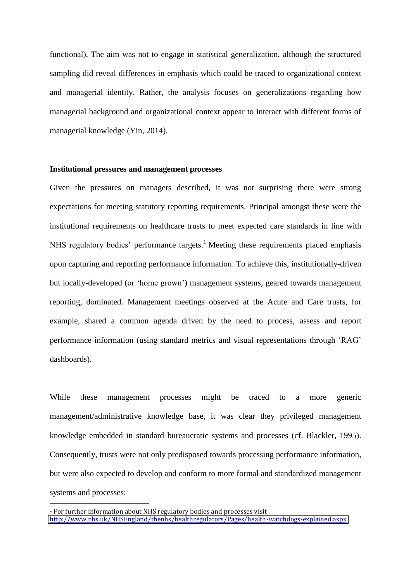functional). The aim was not to engage in statistical generalization, although the structured sampling did reveal differences in emphasis which could be traced to organizational context and managerial identity. Rather, the analysis focuses on generalizations regarding how managerial background and organizational context appear to interact with different forms of managerial knowledge (Yin, 2014).

#### **Institutional pressures and management processes**

Given the pressures on managers described, it was not surprising there were strong expectations for meeting statutory reporting requirements. Principal amongst these were the institutional requirements on healthcare trusts to meet expected care standards in line with NHS regulatory bodies' performance targets.<sup>1</sup> Meeting these requirements placed emphasis upon capturing and reporting performance information. To achieve this, institutionally-driven but locally-developed (or 'home grown') management systems, geared towards management reporting, dominated. Management meetings observed at the Acute and Care trusts, for example, shared a common agenda driven by the need to process, assess and report performance information (using standard metrics and visual representations through 'RAG' dashboards).

While these management processes might be traced to a more generic management/administrative knowledge base, it was clear they privileged management knowledge embedded in standard bureaucratic systems and processes (cf. Blackler, 1995). Consequently, trusts were not only predisposed towards processing performance information, but were also expected to develop and conform to more formal and standardized management systems and processes:

 $\overline{a}$ 

<sup>1</sup> For further information about NHS regulatory bodies and processes visit <http://www.nhs.uk/NHSEngland/thenhs/healthregulators/Pages/health-watchdogs-explained.aspx>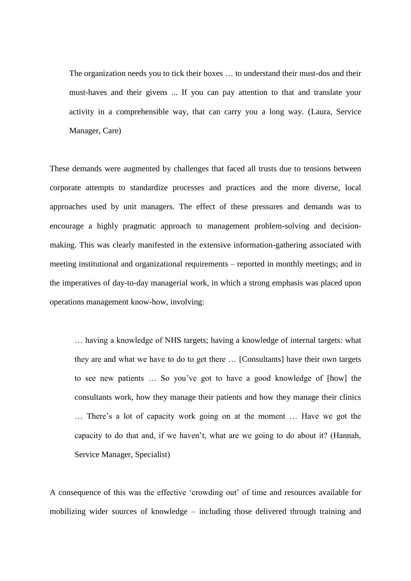The organization needs you to tick their boxes … to understand their must-dos and their must-haves and their givens ... If you can pay attention to that and translate your activity in a comprehensible way, that can carry you a long way. (Laura, Service Manager, Care)

These demands were augmented by challenges that faced all trusts due to tensions between corporate attempts to standardize processes and practices and the more diverse, local approaches used by unit managers. The effect of these pressures and demands was to encourage a highly pragmatic approach to management problem-solving and decisionmaking. This was clearly manifested in the extensive information-gathering associated with meeting institutional and organizational requirements – reported in monthly meetings; and in the imperatives of day-to-day managerial work, in which a strong emphasis was placed upon operations management know-how, involving:

… having a knowledge of NHS targets; having a knowledge of internal targets: what they are and what we have to do to get there … [Consultants] have their own targets to see new patients … So you've got to have a good knowledge of [how] the consultants work, how they manage their patients and how they manage their clinics … There's a lot of capacity work going on at the moment … Have we got the capacity to do that and, if we haven't, what are we going to do about it? (Hannah, Service Manager, Specialist)

A consequence of this was the effective 'crowding out' of time and resources available for mobilizing wider sources of knowledge – including those delivered through training and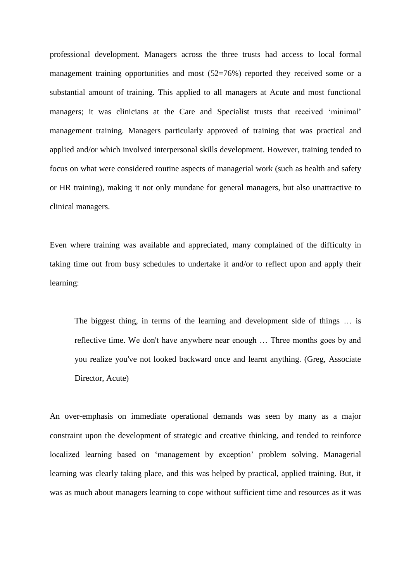professional development. Managers across the three trusts had access to local formal management training opportunities and most (52=76%) reported they received some or a substantial amount of training. This applied to all managers at Acute and most functional managers; it was clinicians at the Care and Specialist trusts that received 'minimal' management training. Managers particularly approved of training that was practical and applied and/or which involved interpersonal skills development. However, training tended to focus on what were considered routine aspects of managerial work (such as health and safety or HR training), making it not only mundane for general managers, but also unattractive to clinical managers.

Even where training was available and appreciated, many complained of the difficulty in taking time out from busy schedules to undertake it and/or to reflect upon and apply their learning:

 The biggest thing, in terms of the learning and development side of things … is reflective time. We don't have anywhere near enough … Three months goes by and you realize you've not looked backward once and learnt anything. (Greg, Associate Director, Acute)

An over-emphasis on immediate operational demands was seen by many as a major constraint upon the development of strategic and creative thinking, and tended to reinforce localized learning based on 'management by exception' problem solving. Managerial learning was clearly taking place, and this was helped by practical, applied training. But, it was as much about managers learning to cope without sufficient time and resources as it was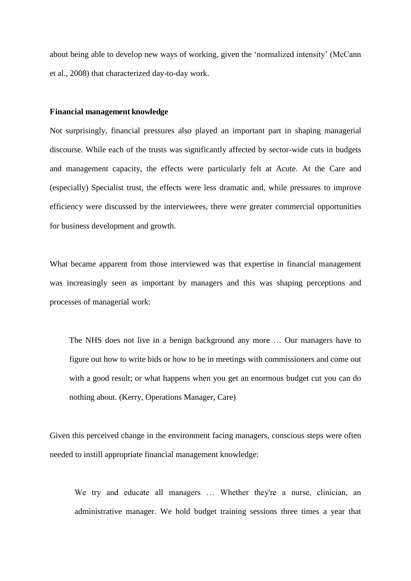about being able to develop new ways of working, given the 'normalized intensity' (McCann et al., 2008) that characterized day-to-day work.

#### **Financial management knowledge**

Not surprisingly, financial pressures also played an important part in shaping managerial discourse. While each of the trusts was significantly affected by sector-wide cuts in budgets and management capacity, the effects were particularly felt at Acute. At the Care and (especially) Specialist trust, the effects were less dramatic and, while pressures to improve efficiency were discussed by the interviewees, there were greater commercial opportunities for business development and growth.

What became apparent from those interviewed was that expertise in financial management was increasingly seen as important by managers and this was shaping perceptions and processes of managerial work:

The NHS does not live in a benign background any more … Our managers have to figure out how to write bids or how to be in meetings with commissioners and come out with a good result; or what happens when you get an enormous budget cut you can do nothing about. (Kerry, Operations Manager, Care)

Given this perceived change in the environment facing managers, conscious steps were often needed to instill appropriate financial management knowledge:

We try and educate all managers ... Whether they're a nurse, clinician, an administrative manager. We hold budget training sessions three times a year that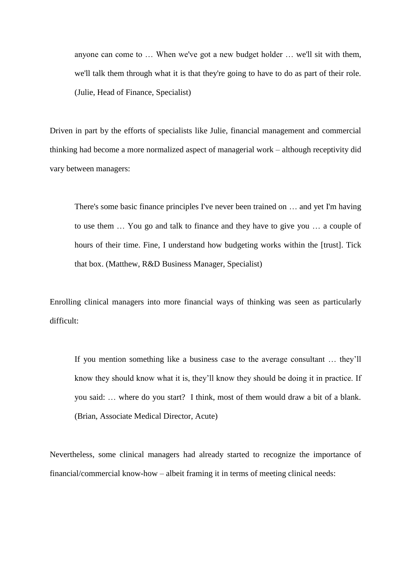anyone can come to … When we've got a new budget holder … we'll sit with them, we'll talk them through what it is that they're going to have to do as part of their role. (Julie, Head of Finance, Specialist)

Driven in part by the efforts of specialists like Julie, financial management and commercial thinking had become a more normalized aspect of managerial work – although receptivity did vary between managers:

There's some basic finance principles I've never been trained on … and yet I'm having to use them … You go and talk to finance and they have to give you … a couple of hours of their time. Fine, I understand how budgeting works within the [trust]. Tick that box. (Matthew, R&D Business Manager, Specialist)

Enrolling clinical managers into more financial ways of thinking was seen as particularly difficult:

If you mention something like a business case to the average consultant … they'll know they should know what it is, they'll know they should be doing it in practice. If you said: … where do you start? I think, most of them would draw a bit of a blank. (Brian, Associate Medical Director, Acute)

Nevertheless, some clinical managers had already started to recognize the importance of financial/commercial know-how – albeit framing it in terms of meeting clinical needs: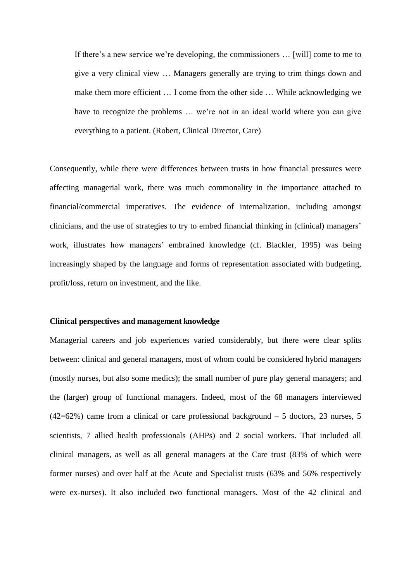If there's a new service we're developing, the commissioners … [will] come to me to give a very clinical view … Managers generally are trying to trim things down and make them more efficient … I come from the other side … While acknowledging we have to recognize the problems ... we're not in an ideal world where you can give everything to a patient. (Robert, Clinical Director, Care)

Consequently, while there were differences between trusts in how financial pressures were affecting managerial work, there was much commonality in the importance attached to financial/commercial imperatives. The evidence of internalization, including amongst clinicians, and the use of strategies to try to embed financial thinking in (clinical) managers' work, illustrates how managers' embrained knowledge (cf. Blackler, 1995) was being increasingly shaped by the language and forms of representation associated with budgeting, profit/loss, return on investment, and the like.

#### **Clinical perspectives and management knowledge**

Managerial careers and job experiences varied considerably, but there were clear splits between: clinical and general managers, most of whom could be considered hybrid managers (mostly nurses, but also some medics); the small number of pure play general managers; and the (larger) group of functional managers. Indeed, most of the 68 managers interviewed  $(42=62)$  came from a clinical or care professional background  $-5$  doctors, 23 nurses, 5 scientists, 7 allied health professionals (AHPs) and 2 social workers. That included all clinical managers, as well as all general managers at the Care trust (83% of which were former nurses) and over half at the Acute and Specialist trusts (63% and 56% respectively were ex-nurses). It also included two functional managers. Most of the 42 clinical and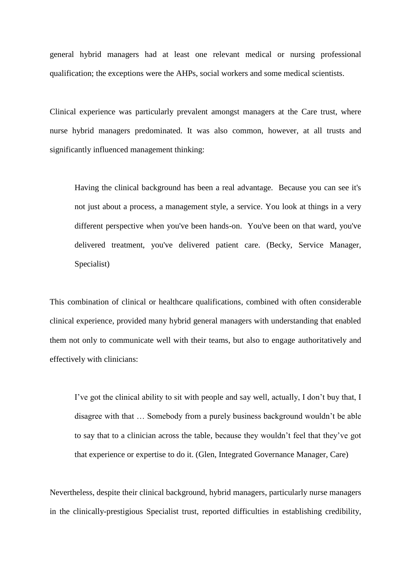general hybrid managers had at least one relevant medical or nursing professional qualification; the exceptions were the AHPs, social workers and some medical scientists.

Clinical experience was particularly prevalent amongst managers at the Care trust, where nurse hybrid managers predominated. It was also common, however, at all trusts and significantly influenced management thinking:

 Having the clinical background has been a real advantage. Because you can see it's not just about a process, a management style, a service. You look at things in a very different perspective when you've been hands-on. You've been on that ward, you've delivered treatment, you've delivered patient care. (Becky, Service Manager, Specialist)

This combination of clinical or healthcare qualifications, combined with often considerable clinical experience, provided many hybrid general managers with understanding that enabled them not only to communicate well with their teams, but also to engage authoritatively and effectively with clinicians:

I've got the clinical ability to sit with people and say well, actually, I don't buy that, I disagree with that … Somebody from a purely business background wouldn't be able to say that to a clinician across the table, because they wouldn't feel that they've got that experience or expertise to do it. (Glen, Integrated Governance Manager, Care)

Nevertheless, despite their clinical background, hybrid managers, particularly nurse managers in the clinically-prestigious Specialist trust, reported difficulties in establishing credibility,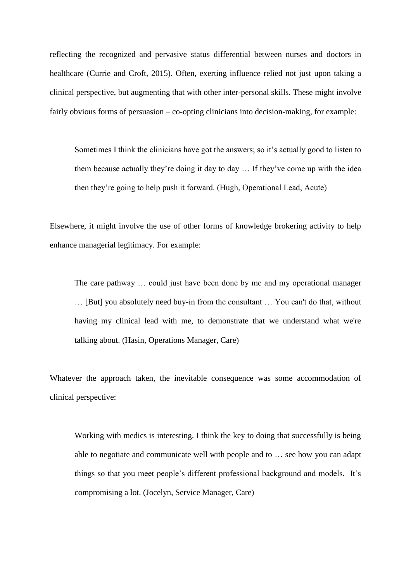reflecting the recognized and pervasive status differential between nurses and doctors in healthcare (Currie and Croft, 2015). Often, exerting influence relied not just upon taking a clinical perspective, but augmenting that with other inter-personal skills. These might involve fairly obvious forms of persuasion – co-opting clinicians into decision-making, for example:

Sometimes I think the clinicians have got the answers; so it's actually good to listen to them because actually they're doing it day to day … If they've come up with the idea then they're going to help push it forward. (Hugh, Operational Lead, Acute)

Elsewhere, it might involve the use of other forms of knowledge brokering activity to help enhance managerial legitimacy. For example:

 The care pathway … could just have been done by me and my operational manager … [But] you absolutely need buy-in from the consultant … You can't do that, without having my clinical lead with me, to demonstrate that we understand what we're talking about. (Hasin, Operations Manager, Care)

Whatever the approach taken, the inevitable consequence was some accommodation of clinical perspective:

 Working with medics is interesting. I think the key to doing that successfully is being able to negotiate and communicate well with people and to … see how you can adapt things so that you meet people's different professional background and models. It's compromising a lot. (Jocelyn, Service Manager, Care)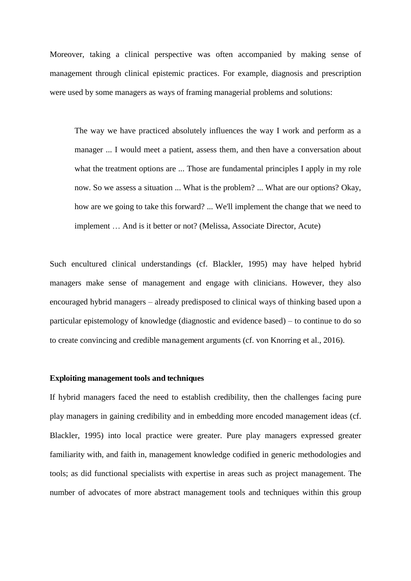Moreover, taking a clinical perspective was often accompanied by making sense of management through clinical epistemic practices. For example, diagnosis and prescription were used by some managers as ways of framing managerial problems and solutions:

The way we have practiced absolutely influences the way I work and perform as a manager ... I would meet a patient, assess them, and then have a conversation about what the treatment options are ... Those are fundamental principles I apply in my role now. So we assess a situation ... What is the problem? ... What are our options? Okay, how are we going to take this forward? ... We'll implement the change that we need to implement … And is it better or not? (Melissa, Associate Director, Acute)

Such encultured clinical understandings (cf. Blackler, 1995) may have helped hybrid managers make sense of management and engage with clinicians. However, they also encouraged hybrid managers – already predisposed to clinical ways of thinking based upon a particular epistemology of knowledge (diagnostic and evidence based) – to continue to do so to create convincing and credible management arguments (cf. von Knorring et al., 2016).

#### **Exploiting management tools and techniques**

If hybrid managers faced the need to establish credibility, then the challenges facing pure play managers in gaining credibility and in embedding more encoded management ideas (cf. Blackler, 1995) into local practice were greater. Pure play managers expressed greater familiarity with, and faith in, management knowledge codified in generic methodologies and tools; as did functional specialists with expertise in areas such as project management. The number of advocates of more abstract management tools and techniques within this group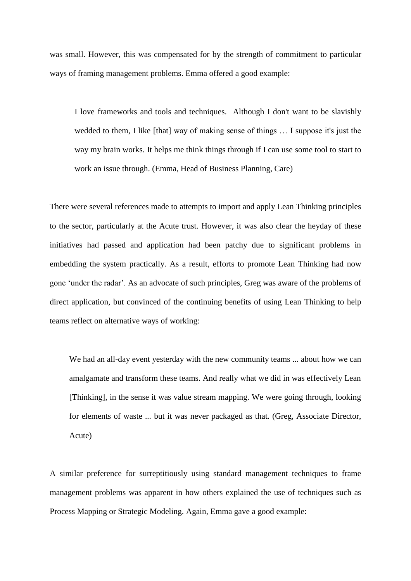was small. However, this was compensated for by the strength of commitment to particular ways of framing management problems. Emma offered a good example:

I love frameworks and tools and techniques. Although I don't want to be slavishly wedded to them, I like [that] way of making sense of things … I suppose it's just the way my brain works. It helps me think things through if I can use some tool to start to work an issue through. (Emma, Head of Business Planning, Care)

There were several references made to attempts to import and apply Lean Thinking principles to the sector, particularly at the Acute trust. However, it was also clear the heyday of these initiatives had passed and application had been patchy due to significant problems in embedding the system practically. As a result, efforts to promote Lean Thinking had now gone 'under the radar'. As an advocate of such principles, Greg was aware of the problems of direct application, but convinced of the continuing benefits of using Lean Thinking to help teams reflect on alternative ways of working:

We had an all-day event yesterday with the new community teams ... about how we can amalgamate and transform these teams. And really what we did in was effectively Lean [Thinking], in the sense it was value stream mapping. We were going through, looking for elements of waste ... but it was never packaged as that. (Greg, Associate Director, Acute)

A similar preference for surreptitiously using standard management techniques to frame management problems was apparent in how others explained the use of techniques such as Process Mapping or Strategic Modeling. Again, Emma gave a good example: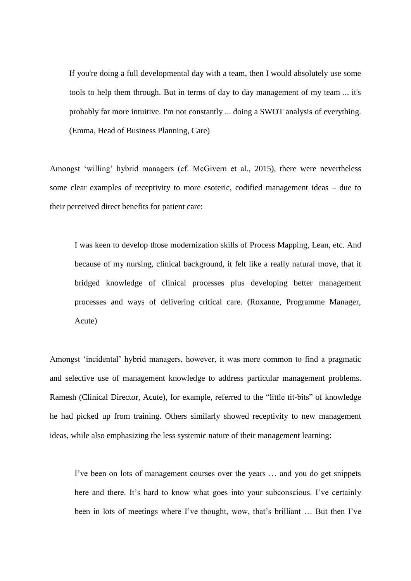If you're doing a full developmental day with a team, then I would absolutely use some tools to help them through. But in terms of day to day management of my team ... it's probably far more intuitive. I'm not constantly ... doing a SWOT analysis of everything. (Emma, Head of Business Planning, Care)

Amongst 'willing' hybrid managers (cf. McGivern et al., 2015), there were nevertheless some clear examples of receptivity to more esoteric, codified management ideas – due to their perceived direct benefits for patient care:

 I was keen to develop those modernization skills of Process Mapping, Lean, etc. And because of my nursing, clinical background, it felt like a really natural move, that it bridged knowledge of clinical processes plus developing better management processes and ways of delivering critical care. (Roxanne, Programme Manager, Acute)

Amongst 'incidental' hybrid managers, however, it was more common to find a pragmatic and selective use of management knowledge to address particular management problems. Ramesh (Clinical Director, Acute), for example, referred to the "little tit-bits" of knowledge he had picked up from training. Others similarly showed receptivity to new management ideas, while also emphasizing the less systemic nature of their management learning:

I've been on lots of management courses over the years … and you do get snippets here and there. It's hard to know what goes into your subconscious. I've certainly been in lots of meetings where I've thought, wow, that's brilliant … But then I've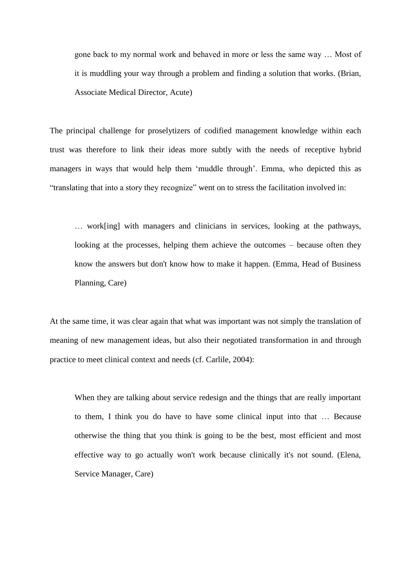gone back to my normal work and behaved in more or less the same way … Most of it is muddling your way through a problem and finding a solution that works. (Brian, Associate Medical Director, Acute)

The principal challenge for proselytizers of codified management knowledge within each trust was therefore to link their ideas more subtly with the needs of receptive hybrid managers in ways that would help them 'muddle through'. Emma, who depicted this as "translating that into a story they recognize" went on to stress the facilitation involved in:

… work[ing] with managers and clinicians in services, looking at the pathways, looking at the processes, helping them achieve the outcomes – because often they know the answers but don't know how to make it happen. (Emma, Head of Business Planning, Care)

At the same time, it was clear again that what was important was not simply the translation of meaning of new management ideas, but also their negotiated transformation in and through practice to meet clinical context and needs (cf. Carlile, 2004):

When they are talking about service redesign and the things that are really important to them, I think you do have to have some clinical input into that … Because otherwise the thing that you think is going to be the best, most efficient and most effective way to go actually won't work because clinically it's not sound. (Elena, Service Manager, Care)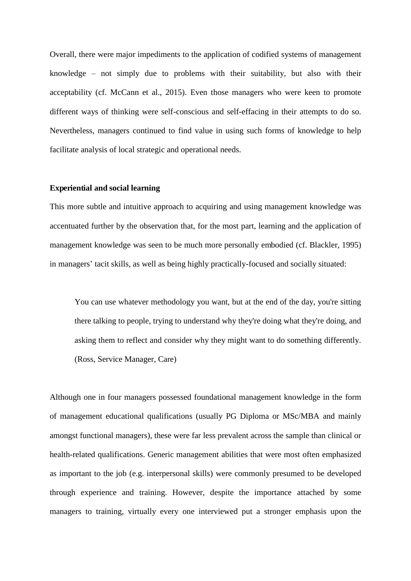Overall, there were major impediments to the application of codified systems of management knowledge – not simply due to problems with their suitability, but also with their acceptability (cf. McCann et al., 2015). Even those managers who were keen to promote different ways of thinking were self-conscious and self-effacing in their attempts to do so. Nevertheless, managers continued to find value in using such forms of knowledge to help facilitate analysis of local strategic and operational needs.

#### **Experiential and social learning**

This more subtle and intuitive approach to acquiring and using management knowledge was accentuated further by the observation that, for the most part, learning and the application of management knowledge was seen to be much more personally embodied (cf. Blackler, 1995) in managers' tacit skills, as well as being highly practically-focused and socially situated:

You can use whatever methodology you want, but at the end of the day, you're sitting there talking to people, trying to understand why they're doing what they're doing, and asking them to reflect and consider why they might want to do something differently. (Ross, Service Manager, Care)

Although one in four managers possessed foundational management knowledge in the form of management educational qualifications (usually PG Diploma or MSc/MBA and mainly amongst functional managers), these were far less prevalent across the sample than clinical or health-related qualifications. Generic management abilities that were most often emphasized as important to the job (e.g. interpersonal skills) were commonly presumed to be developed through experience and training. However, despite the importance attached by some managers to training, virtually every one interviewed put a stronger emphasis upon the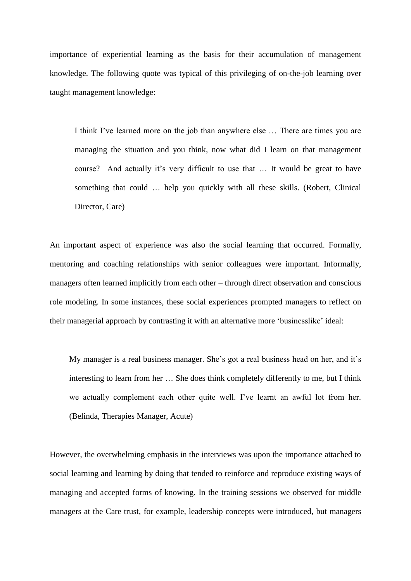importance of experiential learning as the basis for their accumulation of management knowledge. The following quote was typical of this privileging of on-the-job learning over taught management knowledge:

I think I've learned more on the job than anywhere else … There are times you are managing the situation and you think, now what did I learn on that management course? And actually it's very difficult to use that … It would be great to have something that could … help you quickly with all these skills. (Robert, Clinical Director, Care)

An important aspect of experience was also the social learning that occurred. Formally, mentoring and coaching relationships with senior colleagues were important. Informally, managers often learned implicitly from each other – through direct observation and conscious role modeling. In some instances, these social experiences prompted managers to reflect on their managerial approach by contrasting it with an alternative more 'businesslike' ideal:

My manager is a real business manager. She's got a real business head on her, and it's interesting to learn from her … She does think completely differently to me, but I think we actually complement each other quite well. I've learnt an awful lot from her. (Belinda, Therapies Manager, Acute)

However, the overwhelming emphasis in the interviews was upon the importance attached to social learning and learning by doing that tended to reinforce and reproduce existing ways of managing and accepted forms of knowing. In the training sessions we observed for middle managers at the Care trust, for example, leadership concepts were introduced, but managers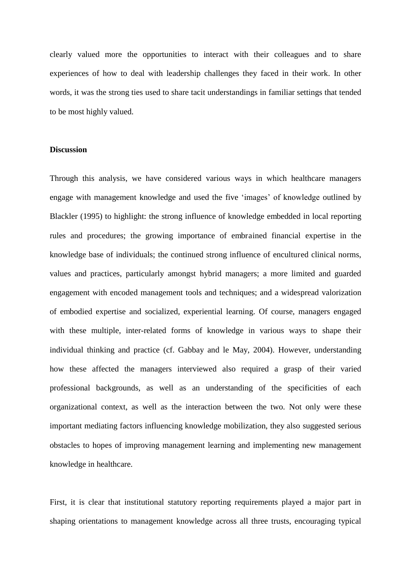clearly valued more the opportunities to interact with their colleagues and to share experiences of how to deal with leadership challenges they faced in their work. In other words, it was the strong ties used to share tacit understandings in familiar settings that tended to be most highly valued.

#### **Discussion**

Through this analysis, we have considered various ways in which healthcare managers engage with management knowledge and used the five 'images' of knowledge outlined by Blackler (1995) to highlight: the strong influence of knowledge embedded in local reporting rules and procedures; the growing importance of embrained financial expertise in the knowledge base of individuals; the continued strong influence of encultured clinical norms, values and practices, particularly amongst hybrid managers; a more limited and guarded engagement with encoded management tools and techniques; and a widespread valorization of embodied expertise and socialized, experiential learning. Of course, managers engaged with these multiple, inter-related forms of knowledge in various ways to shape their individual thinking and practice (cf. Gabbay and le May, 2004). However, understanding how these affected the managers interviewed also required a grasp of their varied professional backgrounds, as well as an understanding of the specificities of each organizational context, as well as the interaction between the two. Not only were these important mediating factors influencing knowledge mobilization, they also suggested serious obstacles to hopes of improving management learning and implementing new management knowledge in healthcare.

First, it is clear that institutional statutory reporting requirements played a major part in shaping orientations to management knowledge across all three trusts, encouraging typical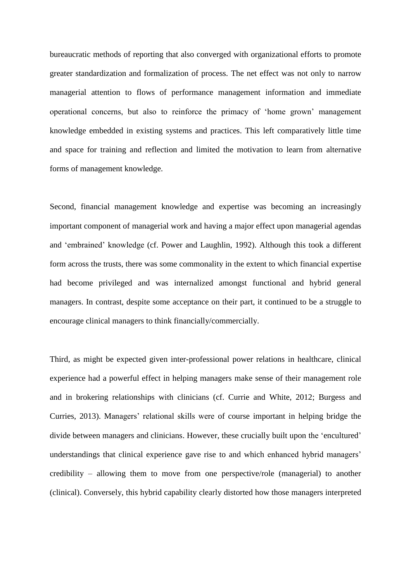bureaucratic methods of reporting that also converged with organizational efforts to promote greater standardization and formalization of process. The net effect was not only to narrow managerial attention to flows of performance management information and immediate operational concerns, but also to reinforce the primacy of 'home grown' management knowledge embedded in existing systems and practices. This left comparatively little time and space for training and reflection and limited the motivation to learn from alternative forms of management knowledge.

Second, financial management knowledge and expertise was becoming an increasingly important component of managerial work and having a major effect upon managerial agendas and 'embrained' knowledge (cf. Power and Laughlin, 1992). Although this took a different form across the trusts, there was some commonality in the extent to which financial expertise had become privileged and was internalized amongst functional and hybrid general managers. In contrast, despite some acceptance on their part, it continued to be a struggle to encourage clinical managers to think financially/commercially.

Third, as might be expected given inter-professional power relations in healthcare, clinical experience had a powerful effect in helping managers make sense of their management role and in brokering relationships with clinicians (cf. Currie and White, 2012; Burgess and Curries, 2013). Managers' relational skills were of course important in helping bridge the divide between managers and clinicians. However, these crucially built upon the 'encultured' understandings that clinical experience gave rise to and which enhanced hybrid managers' credibility – allowing them to move from one perspective/role (managerial) to another (clinical). Conversely, this hybrid capability clearly distorted how those managers interpreted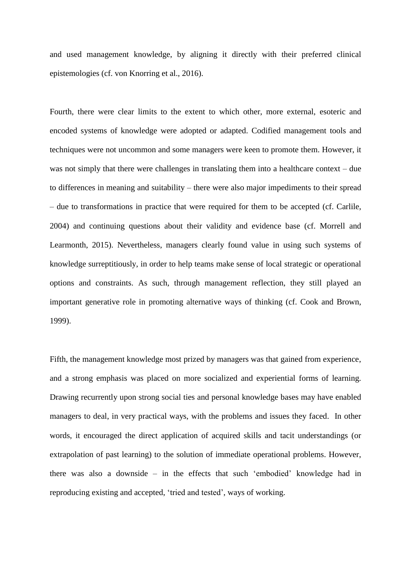and used management knowledge, by aligning it directly with their preferred clinical epistemologies (cf. von Knorring et al., 2016).

Fourth, there were clear limits to the extent to which other, more external, esoteric and encoded systems of knowledge were adopted or adapted. Codified management tools and techniques were not uncommon and some managers were keen to promote them. However, it was not simply that there were challenges in translating them into a healthcare context – due to differences in meaning and suitability – there were also major impediments to their spread – due to transformations in practice that were required for them to be accepted (cf. Carlile, 2004) and continuing questions about their validity and evidence base (cf. Morrell and Learmonth, 2015). Nevertheless, managers clearly found value in using such systems of knowledge surreptitiously, in order to help teams make sense of local strategic or operational options and constraints. As such, through management reflection, they still played an important generative role in promoting alternative ways of thinking (cf. Cook and Brown, 1999).

Fifth, the management knowledge most prized by managers was that gained from experience, and a strong emphasis was placed on more socialized and experiential forms of learning. Drawing recurrently upon strong social ties and personal knowledge bases may have enabled managers to deal, in very practical ways, with the problems and issues they faced. In other words, it encouraged the direct application of acquired skills and tacit understandings (or extrapolation of past learning) to the solution of immediate operational problems. However, there was also a downside – in the effects that such 'embodied' knowledge had in reproducing existing and accepted, 'tried and tested', ways of working.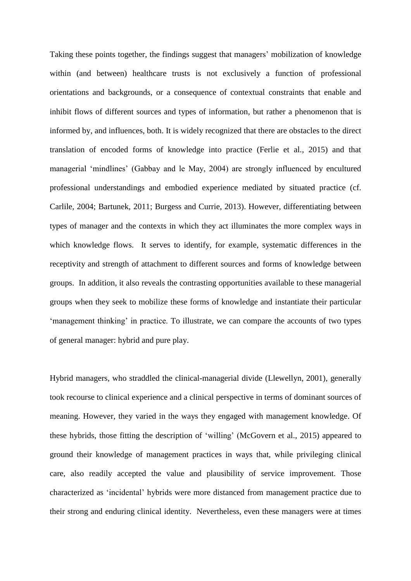Taking these points together, the findings suggest that managers' mobilization of knowledge within (and between) healthcare trusts is not exclusively a function of professional orientations and backgrounds, or a consequence of contextual constraints that enable and inhibit flows of different sources and types of information, but rather a phenomenon that is informed by, and influences, both. It is widely recognized that there are obstacles to the direct translation of encoded forms of knowledge into practice (Ferlie et al., 2015) and that managerial 'mindlines' (Gabbay and le May, 2004) are strongly influenced by encultured professional understandings and embodied experience mediated by situated practice (cf. Carlile, 2004; Bartunek, 2011; Burgess and Currie, 2013). However, differentiating between types of manager and the contexts in which they act illuminates the more complex ways in which knowledge flows. It serves to identify, for example, systematic differences in the receptivity and strength of attachment to different sources and forms of knowledge between groups. In addition, it also reveals the contrasting opportunities available to these managerial groups when they seek to mobilize these forms of knowledge and instantiate their particular 'management thinking' in practice. To illustrate, we can compare the accounts of two types of general manager: hybrid and pure play.

Hybrid managers, who straddled the clinical-managerial divide (Llewellyn, 2001), generally took recourse to clinical experience and a clinical perspective in terms of dominant sources of meaning. However, they varied in the ways they engaged with management knowledge. Of these hybrids, those fitting the description of 'willing' (McGovern et al., 2015) appeared to ground their knowledge of management practices in ways that, while privileging clinical care, also readily accepted the value and plausibility of service improvement. Those characterized as 'incidental' hybrids were more distanced from management practice due to their strong and enduring clinical identity. Nevertheless, even these managers were at times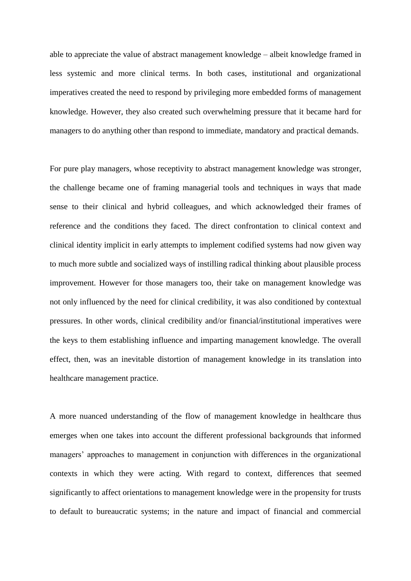able to appreciate the value of abstract management knowledge – albeit knowledge framed in less systemic and more clinical terms. In both cases, institutional and organizational imperatives created the need to respond by privileging more embedded forms of management knowledge. However, they also created such overwhelming pressure that it became hard for managers to do anything other than respond to immediate, mandatory and practical demands.

For pure play managers, whose receptivity to abstract management knowledge was stronger, the challenge became one of framing managerial tools and techniques in ways that made sense to their clinical and hybrid colleagues, and which acknowledged their frames of reference and the conditions they faced. The direct confrontation to clinical context and clinical identity implicit in early attempts to implement codified systems had now given way to much more subtle and socialized ways of instilling radical thinking about plausible process improvement. However for those managers too, their take on management knowledge was not only influenced by the need for clinical credibility, it was also conditioned by contextual pressures. In other words, clinical credibility and/or financial/institutional imperatives were the keys to them establishing influence and imparting management knowledge. The overall effect, then, was an inevitable distortion of management knowledge in its translation into healthcare management practice.

A more nuanced understanding of the flow of management knowledge in healthcare thus emerges when one takes into account the different professional backgrounds that informed managers' approaches to management in conjunction with differences in the organizational contexts in which they were acting. With regard to context, differences that seemed significantly to affect orientations to management knowledge were in the propensity for trusts to default to bureaucratic systems; in the nature and impact of financial and commercial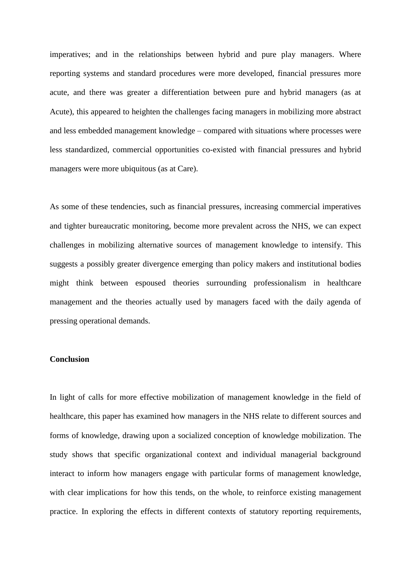imperatives; and in the relationships between hybrid and pure play managers. Where reporting systems and standard procedures were more developed, financial pressures more acute, and there was greater a differentiation between pure and hybrid managers (as at Acute), this appeared to heighten the challenges facing managers in mobilizing more abstract and less embedded management knowledge – compared with situations where processes were less standardized, commercial opportunities co-existed with financial pressures and hybrid managers were more ubiquitous (as at Care).

As some of these tendencies, such as financial pressures, increasing commercial imperatives and tighter bureaucratic monitoring, become more prevalent across the NHS, we can expect challenges in mobilizing alternative sources of management knowledge to intensify. This suggests a possibly greater divergence emerging than policy makers and institutional bodies might think between espoused theories surrounding professionalism in healthcare management and the theories actually used by managers faced with the daily agenda of pressing operational demands.

#### **Conclusion**

In light of calls for more effective mobilization of management knowledge in the field of healthcare, this paper has examined how managers in the NHS relate to different sources and forms of knowledge, drawing upon a socialized conception of knowledge mobilization. The study shows that specific organizational context and individual managerial background interact to inform how managers engage with particular forms of management knowledge, with clear implications for how this tends, on the whole, to reinforce existing management practice. In exploring the effects in different contexts of statutory reporting requirements,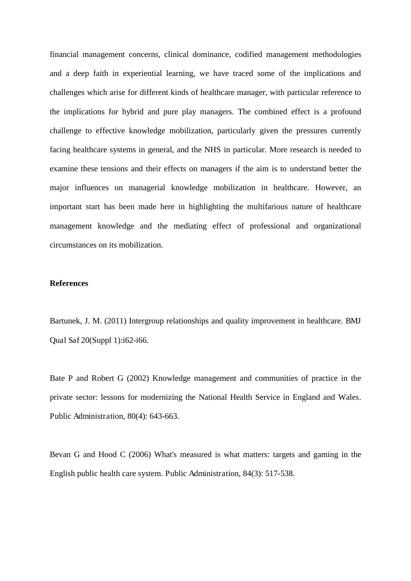financial management concerns, clinical dominance, codified management methodologies and a deep faith in experiential learning, we have traced some of the implications and challenges which arise for different kinds of healthcare manager, with particular reference to the implications for hybrid and pure play managers. The combined effect is a profound challenge to effective knowledge mobilization, particularly given the pressures currently facing healthcare systems in general, and the NHS in particular. More research is needed to examine these tensions and their effects on managers if the aim is to understand better the major influences on managerial knowledge mobilization in healthcare. However, an important start has been made here in highlighting the multifarious nature of healthcare management knowledge and the mediating effect of professional and organizational circumstances on its mobilization.

#### **References**

Bartunek, J. M. (2011) Intergroup relationships and quality improvement in healthcare. BMJ Qual Saf 20(Suppl 1):i62-i66.

Bate P and Robert G (2002) Knowledge management and communities of practice in the private sector: lessons for modernizing the National Health Service in England and Wales. Public Administration, 80(4): 643-663.

Bevan G and Hood C (2006) What's measured is what matters: targets and gaming in the English public health care system. Public Administration, 84(3): 517-538.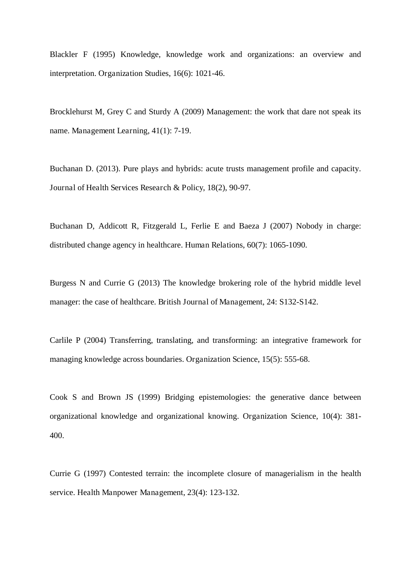Blackler F (1995) Knowledge, knowledge work and organizations: an overview and interpretation. Organization Studies, 16(6): 1021-46.

Brocklehurst M, Grey C and Sturdy A (2009) Management: the work that dare not speak its name. Management Learning, 41(1): 7-19.

Buchanan D. (2013). Pure plays and hybrids: acute trusts management profile and capacity. Journal of Health Services Research & Policy, 18(2), 90-97.

Buchanan D, Addicott R, Fitzgerald L, Ferlie E and Baeza J (2007) Nobody in charge: distributed change agency in healthcare. Human Relations, 60(7): 1065-1090.

Burgess N and Currie G (2013) The knowledge brokering role of the hybrid middle level manager: the case of healthcare. British Journal of Management, 24: S132-S142.

Carlile P (2004) Transferring, translating, and transforming: an integrative framework for managing knowledge across boundaries. Organization Science, 15(5): 555-68.

Cook S and Brown JS (1999) Bridging epistemologies: the generative dance between organizational knowledge and organizational knowing. Organization Science, 10(4): 381- 400.

Currie G (1997) Contested terrain: the incomplete closure of managerialism in the health service. Health Manpower Management, 23(4): 123-132.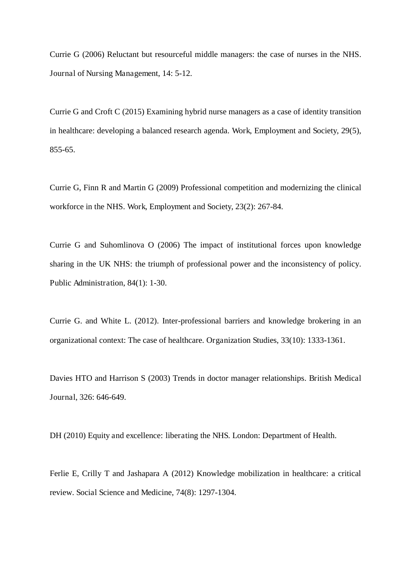Currie G (2006) Reluctant but resourceful middle managers: the case of nurses in the NHS. Journal of Nursing Management, 14: 5-12.

Currie G and Croft C (2015) Examining hybrid nurse managers as a case of identity transition in healthcare: developing a balanced research agenda. Work, Employment and Society, 29(5), 855-65.

Currie G, Finn R and Martin G (2009) Professional competition and modernizing the clinical workforce in the NHS. Work, Employment and Society, 23(2): 267-84.

Currie G and Suhomlinova O (2006) The impact of institutional forces upon knowledge sharing in the UK NHS: the triumph of professional power and the inconsistency of policy. Public Administration, 84(1): 1-30.

Currie G. and White L. (2012). Inter-professional barriers and knowledge brokering in an organizational context: The case of healthcare. Organization Studies, 33(10): 1333-1361.

Davies HTO and Harrison S (2003) Trends in doctor manager relationships. British Medical Journal, 326: 646-649.

DH (2010) Equity and excellence: liberating the NHS. London: Department of Health.

Ferlie E, Crilly T and Jashapara A (2012) Knowledge mobilization in healthcare: a critical review. Social Science and Medicine, 74(8): 1297-1304.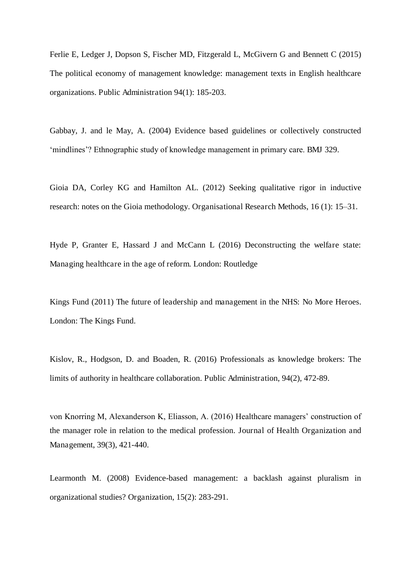Ferlie E, Ledger J, Dopson S, Fischer MD, Fitzgerald L, McGivern G and Bennett C (2015) The political economy of management knowledge: management texts in English healthcare organizations. Public Administration 94(1): 185-203.

Gabbay, J. and le May, A. (2004) Evidence based guidelines or collectively constructed 'mindlines'? Ethnographic study of knowledge management in primary care. BMJ 329.

Gioia DA, Corley KG and Hamilton AL. (2012) Seeking qualitative rigor in inductive research: notes on the Gioia methodology. Organisational Research Methods, 16 (1): 15–31.

Hyde P, Granter E, Hassard J and McCann L (2016) Deconstructing the welfare state: Managing healthcare in the age of reform. London: Routledge

Kings Fund (2011) The future of leadership and management in the NHS: No More Heroes. London: The Kings Fund.

Kislov, R., Hodgson, D. and Boaden, R. (2016) Professionals as knowledge brokers: The limits of authority in healthcare collaboration. Public Administration, 94(2), 472-89.

von Knorring M, Alexanderson K, Eliasson, A. (2016) Healthcare managers' construction of the manager role in relation to the medical profession. Journal of Health Organization and Management, 39(3), 421-440.

Learmonth M. (2008) Evidence-based management: a backlash against pluralism in organizational studies? Organization, 15(2): 283-291.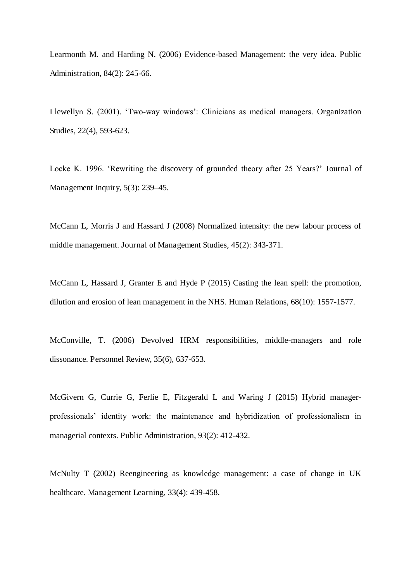Learmonth M. and Harding N. (2006) Evidence-based Management: the very idea. Public Administration, 84(2): 245-66.

Llewellyn S. (2001). 'Two-way windows': Clinicians as medical managers. Organization Studies, 22(4), 593-623.

Locke K. 1996. 'Rewriting the discovery of grounded theory after 25 Years?' Journal of Management Inquiry, 5(3): 239–45.

McCann L, Morris J and Hassard J (2008) Normalized intensity: the new labour process of middle management. Journal of Management Studies, 45(2): 343-371.

McCann L, Hassard J, Granter E and Hyde P (2015) Casting the lean spell: the promotion, dilution and erosion of lean management in the NHS. Human Relations, 68(10): 1557-1577.

McConville, T. (2006) Devolved HRM responsibilities, middle-managers and role dissonance. Personnel Review, 35(6), 637-653.

McGivern G, Currie G, Ferlie E, Fitzgerald L and Waring J (2015) Hybrid managerprofessionals' identity work: the maintenance and hybridization of professionalism in managerial contexts. Public Administration, 93(2): 412-432.

McNulty T (2002) Reengineering as knowledge management: a case of change in UK healthcare. Management Learning, 33(4): 439-458.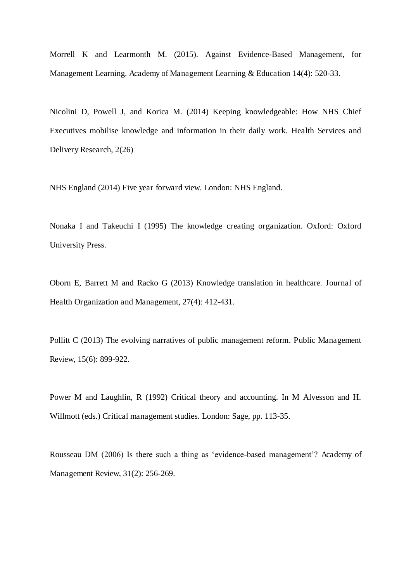Morrell K and Learmonth M. (2015). Against Evidence-Based Management, for Management Learning. Academy of Management Learning & Education 14(4): 520-33.

Nicolini D, Powell J, and Korica M. (2014) Keeping knowledgeable: How NHS Chief Executives mobilise knowledge and information in their daily work. Health Services and Delivery Research, 2(26)

NHS England (2014) Five year forward view. London: NHS England.

Nonaka I and Takeuchi I (1995) The knowledge creating organization. Oxford: Oxford University Press.

Oborn E, Barrett M and Racko G (2013) Knowledge translation in healthcare. Journal of Health Organization and Management, 27(4): 412-431.

Pollitt C (2013) The evolving narratives of public management reform. Public Management Review, 15(6): 899-922.

Power M and Laughlin, R (1992) Critical theory and accounting. In M Alvesson and H. Willmott (eds.) Critical management studies. London: Sage, pp. 113-35.

Rousseau DM (2006) Is there such a thing as 'evidence-based management'? Academy of Management Review, 31(2): 256-269.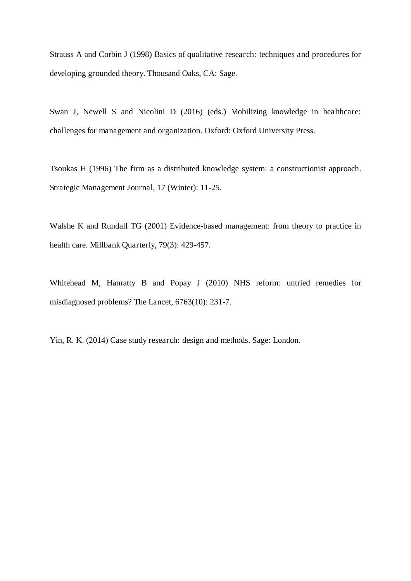Strauss A and Corbin J (1998) Basics of qualitative research: techniques and procedures for developing grounded theory. Thousand Oaks, CA: Sage.

Swan J, Newell S and Nicolini D (2016) (eds.) Mobilizing knowledge in healthcare: challenges for management and organization. Oxford: Oxford University Press.

Tsoukas H (1996) The firm as a distributed knowledge system: a constructionist approach. Strategic Management Journal, 17 (Winter): 11-25.

Walshe K and Rundall TG (2001) Evidence-based management: from theory to practice in health care. Millbank Quarterly, 79(3): 429-457.

Whitehead M, Hanratty B and Popay J (2010) NHS reform: untried remedies for misdiagnosed problems? The Lancet, 6763(10): 231-7.

Yin, R. K. (2014) Case study research: design and methods. Sage: London.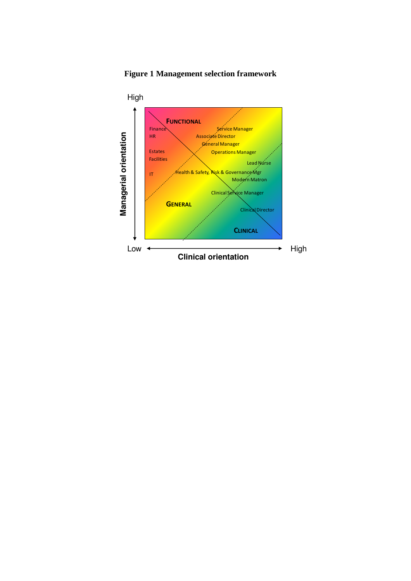

**Figure 1 Management selection framework**